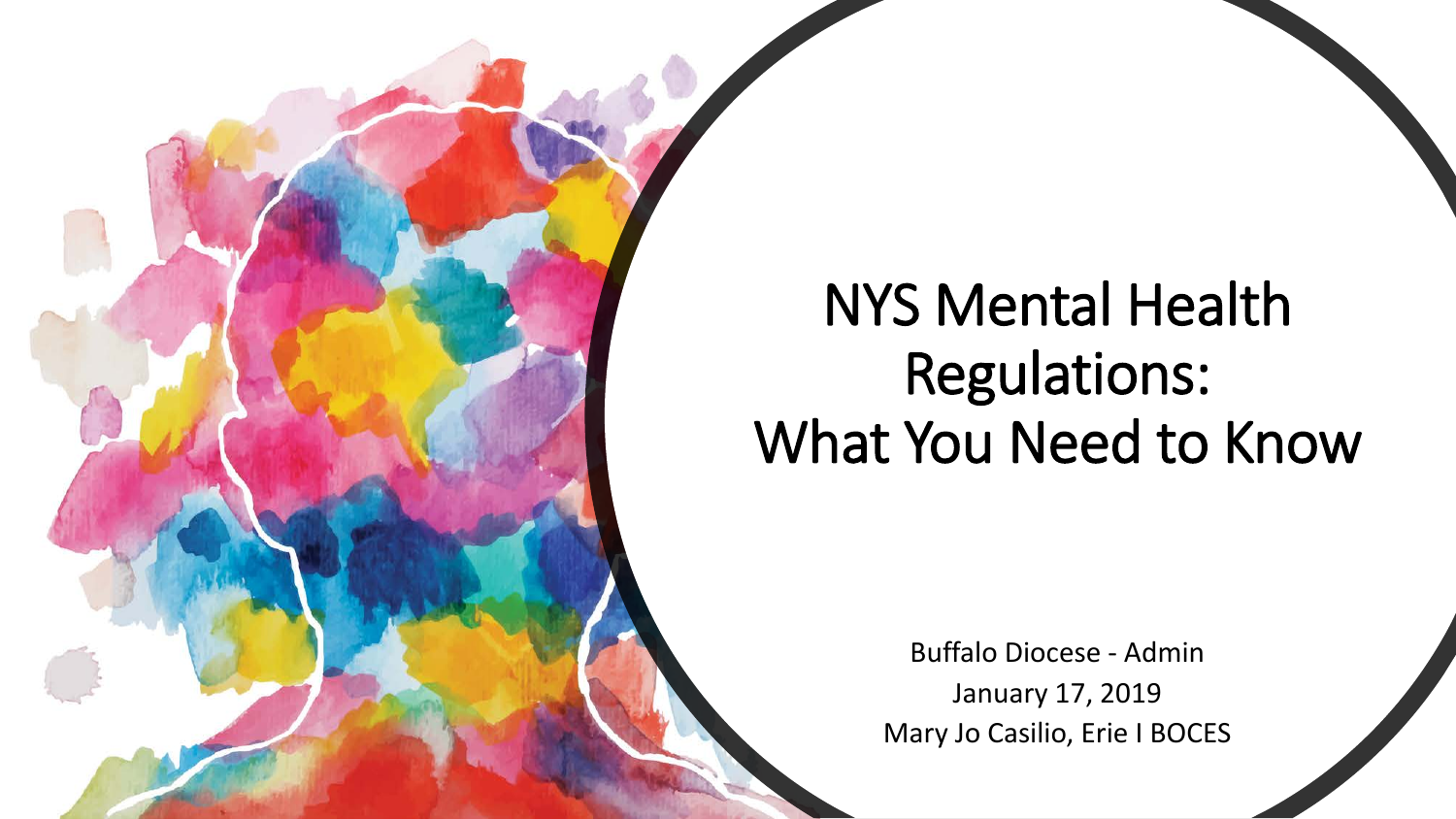### NYS Mental Health Regulations: What You Need to Know

Buffalo Diocese - Admin January 17, 2019 Mary Jo Casilio, Erie I BOCES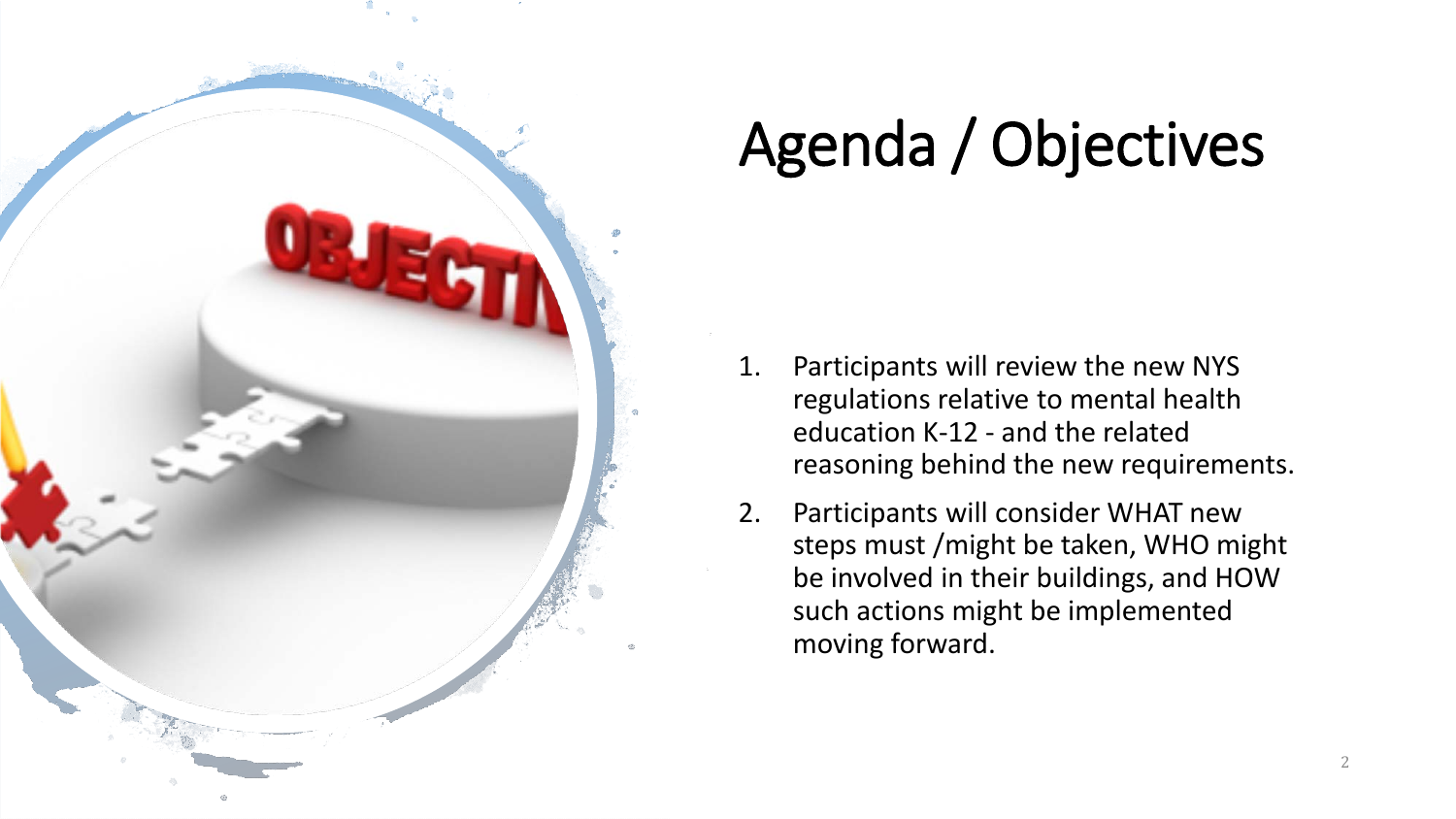

# Agenda / Objectives

- 1. Participants will review the new NYS regulations relative to mental health education K-12 - and the related reasoning behind the new requirements.
- 2. Participants will consider WHAT new steps must /might be taken, WHO might be involved in their buildings, and HOW such actions might be implemented moving forward.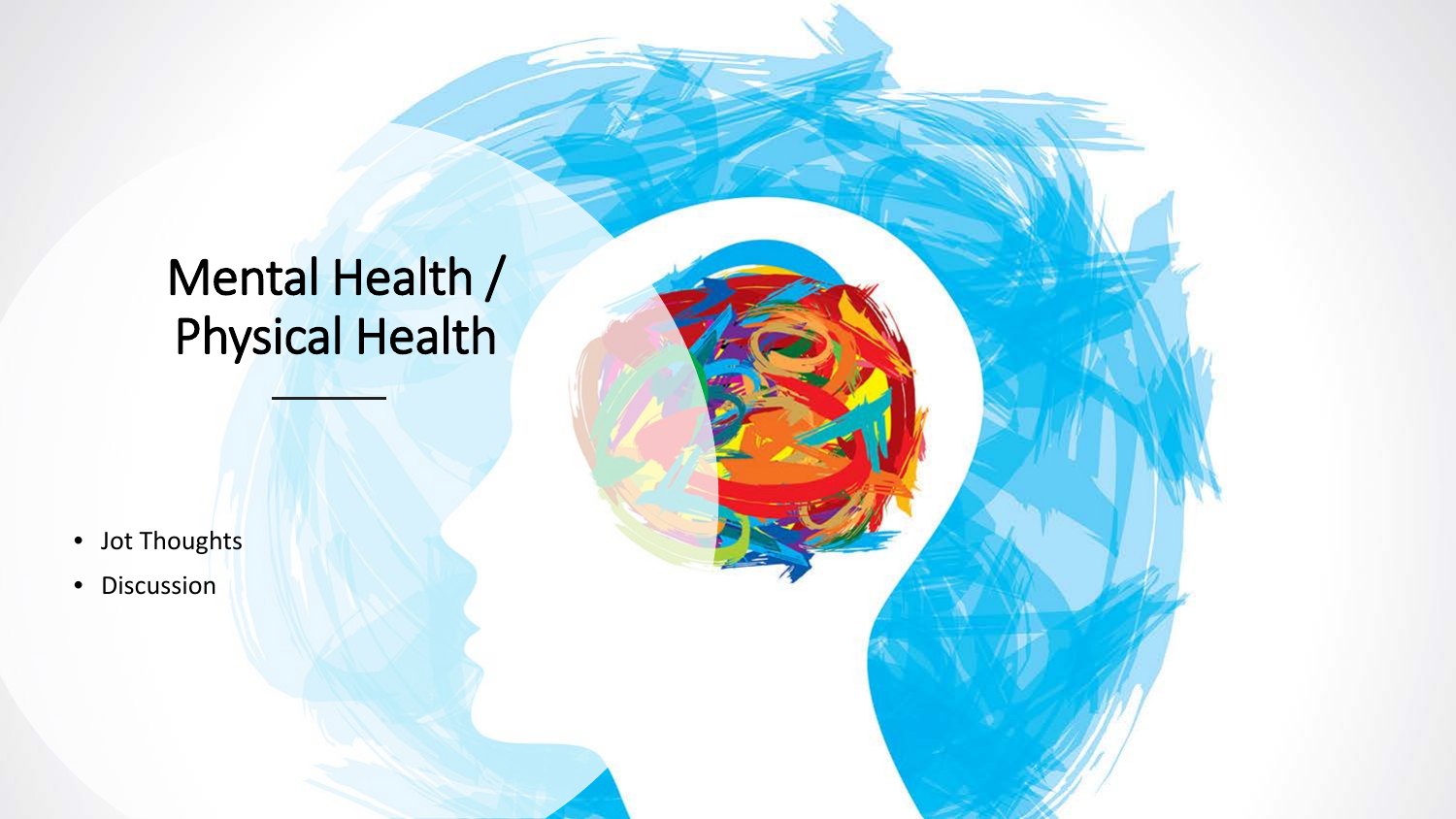### Mental Health / Physical Health

- Jot Thoughts
- Discussion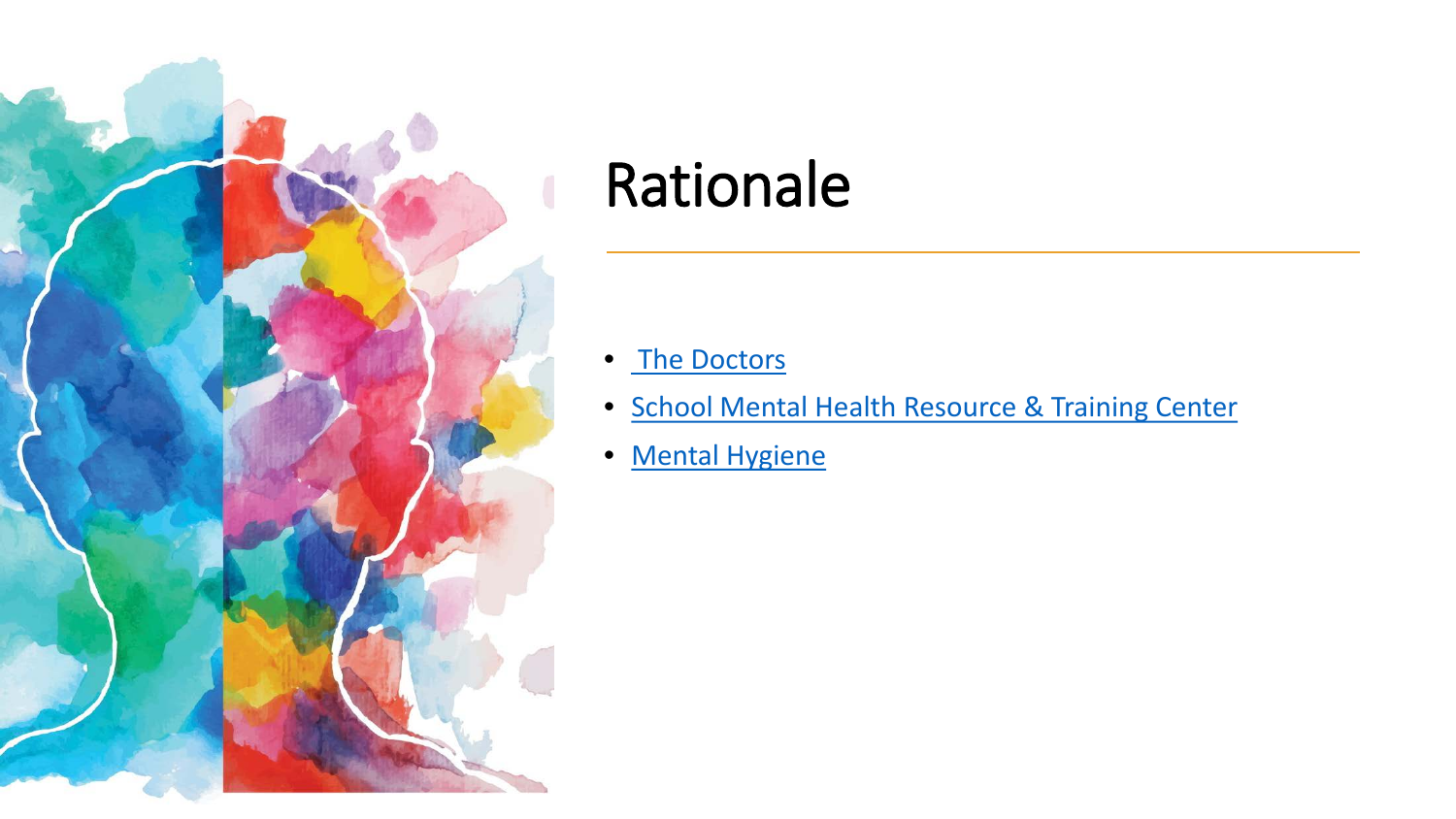

### Rationale

- [The Doctors](https://www.thedoctorstv.com/videos/mental-health-education-schools)
- [School Mental Health Resource & Training Center](https://www.mentalhealthednys.org/mhanys-project375-psa/)
- [Mental Hygiene](https://www.ted.com/talks/guy_winch_the_case_for_emotional_hygiene?language=en)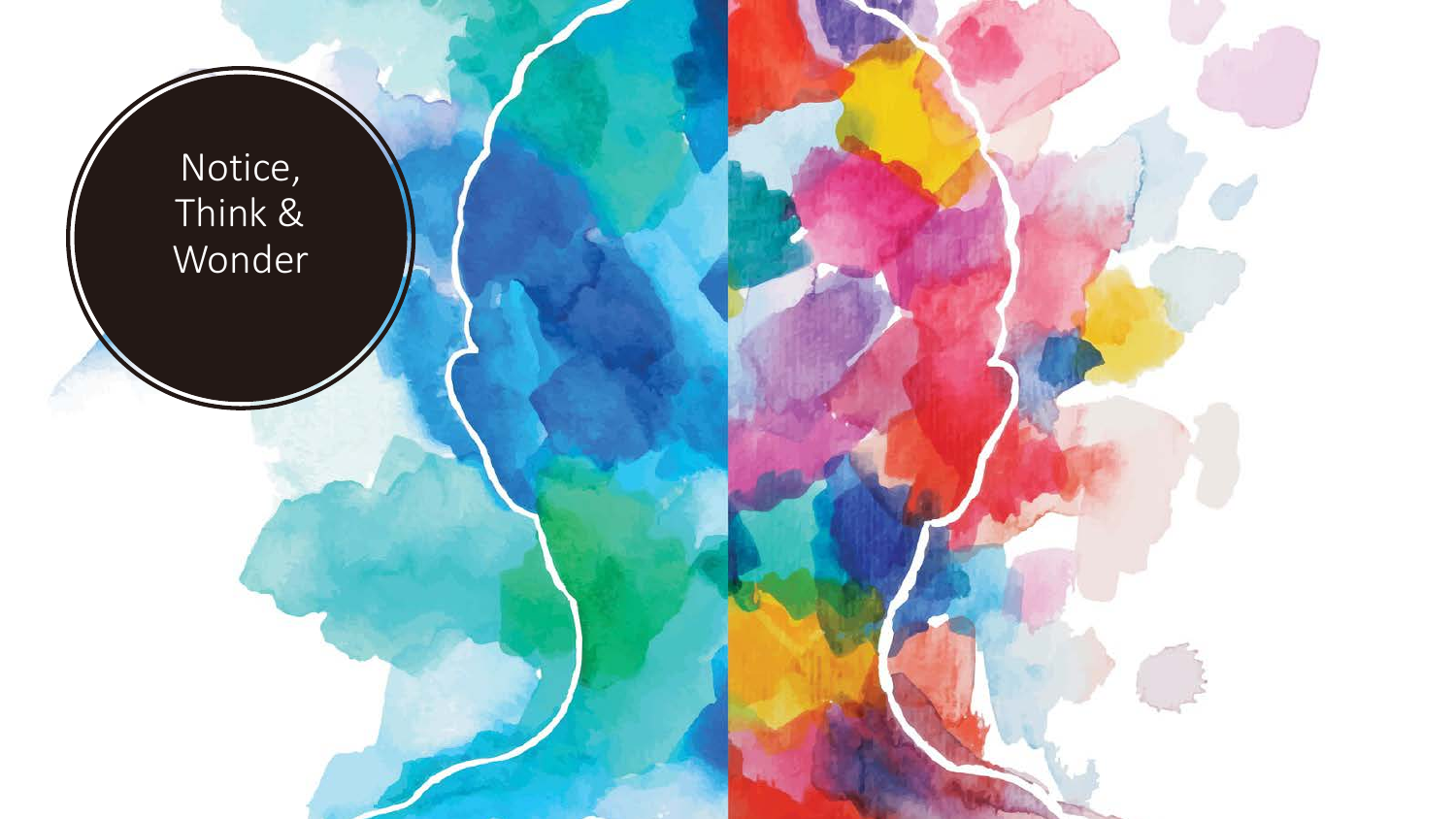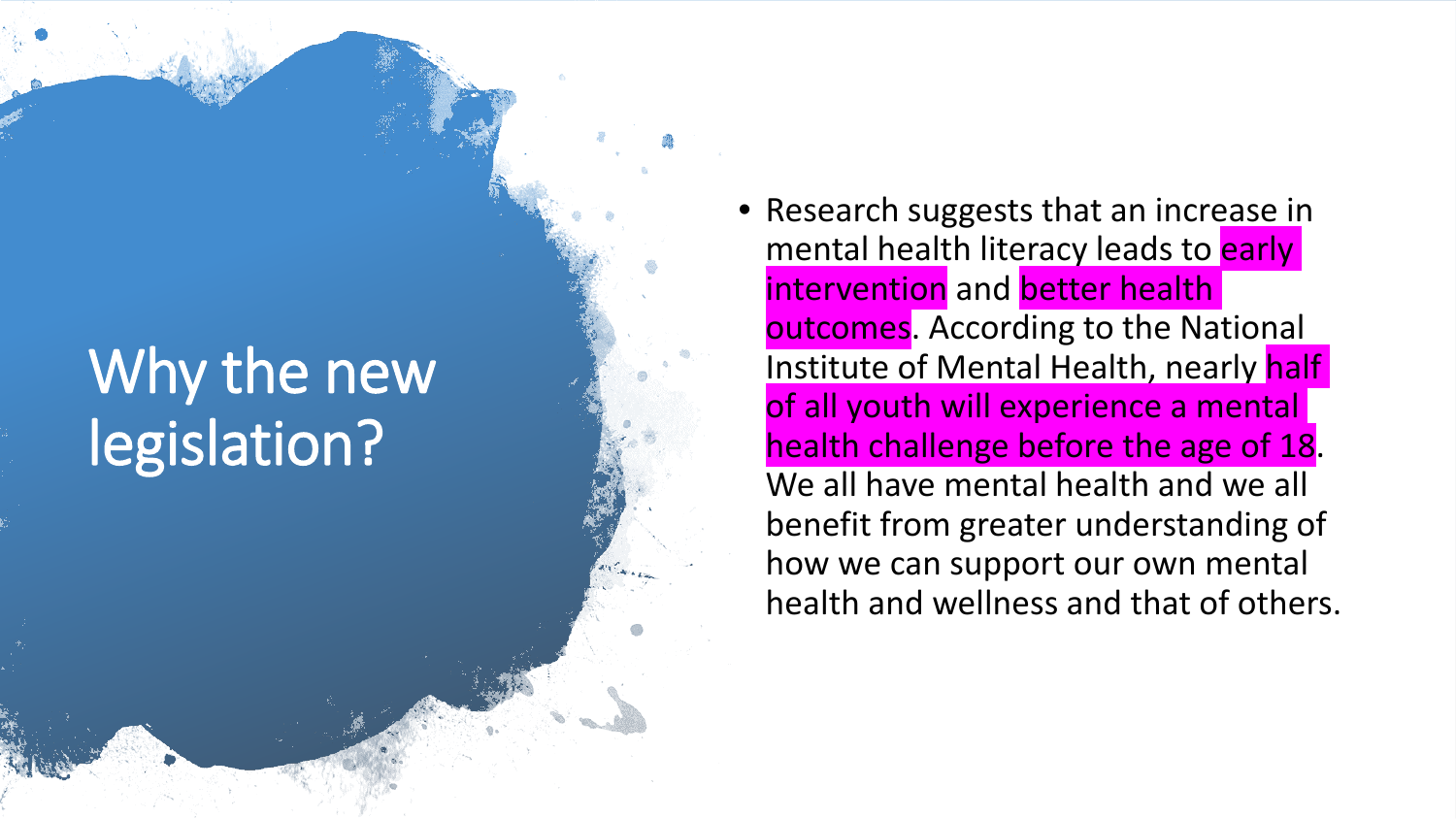# Why the new legislation?

• Research suggests that an increase in mental health literacy leads to early intervention and better health outcomes. According to the National Institute of Mental Health, nearly half of all youth will experience a mental health challenge before the age of 18. We all have mental health and we all benefit from greater understanding of how we can support our own mental health and wellness and that of others.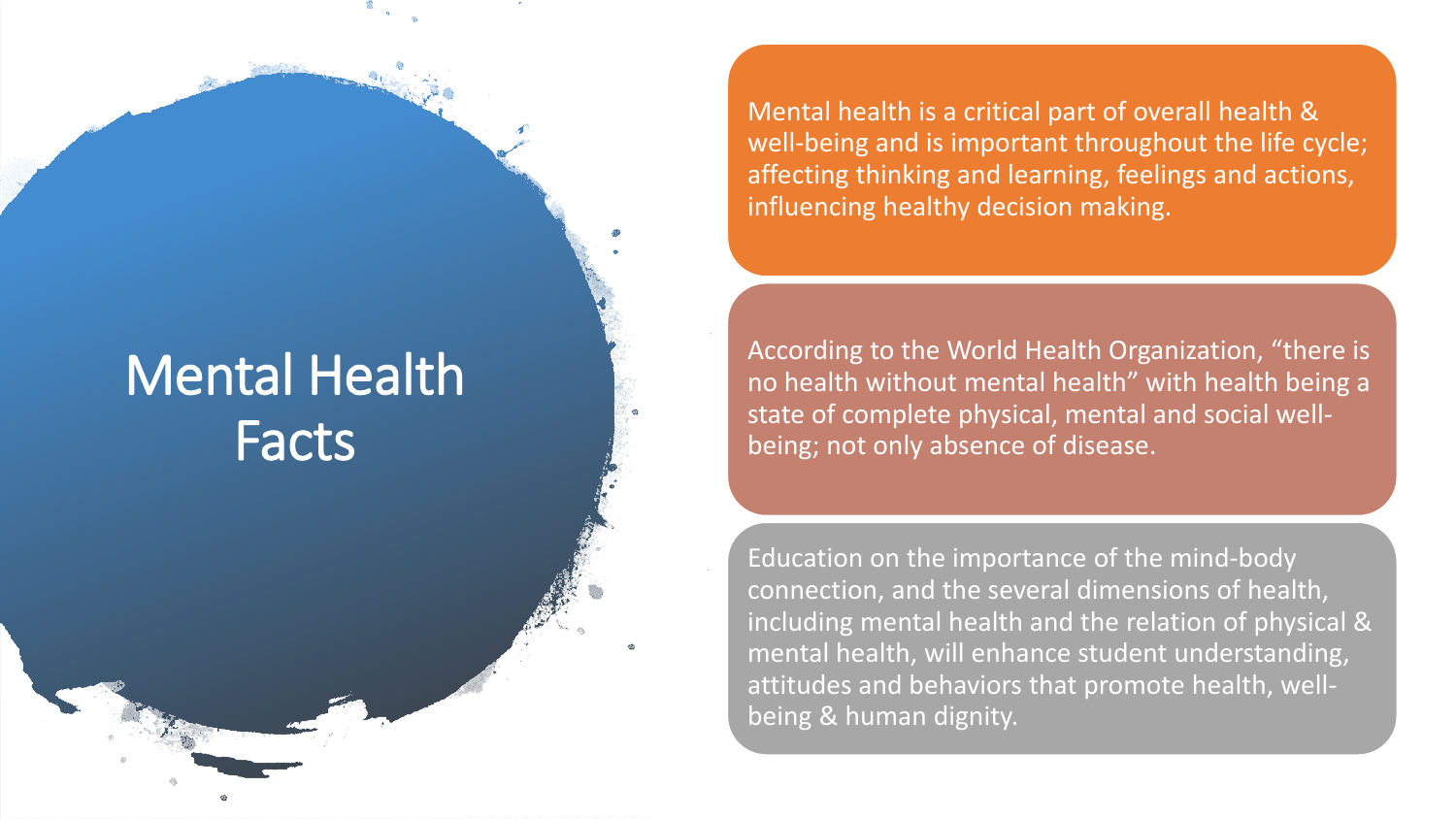#### Mental Health Facts

Mental health is a critical part of overall health & well-being and is important throughout the life cycle; affecting thinking and learning, feelings and actions, influencing healthy decision making.

According to the World Health Organization, "there is no health without mental health" with health being a state of complete physical, mental and social wellbeing; not only absence of disease.

Education on the importance of the mind-body connection, and the several dimensions of health, including mental health and the relation of physical & mental health, will enhance student understanding, attitudes and behaviors that promote health, wellbeing & human dignity.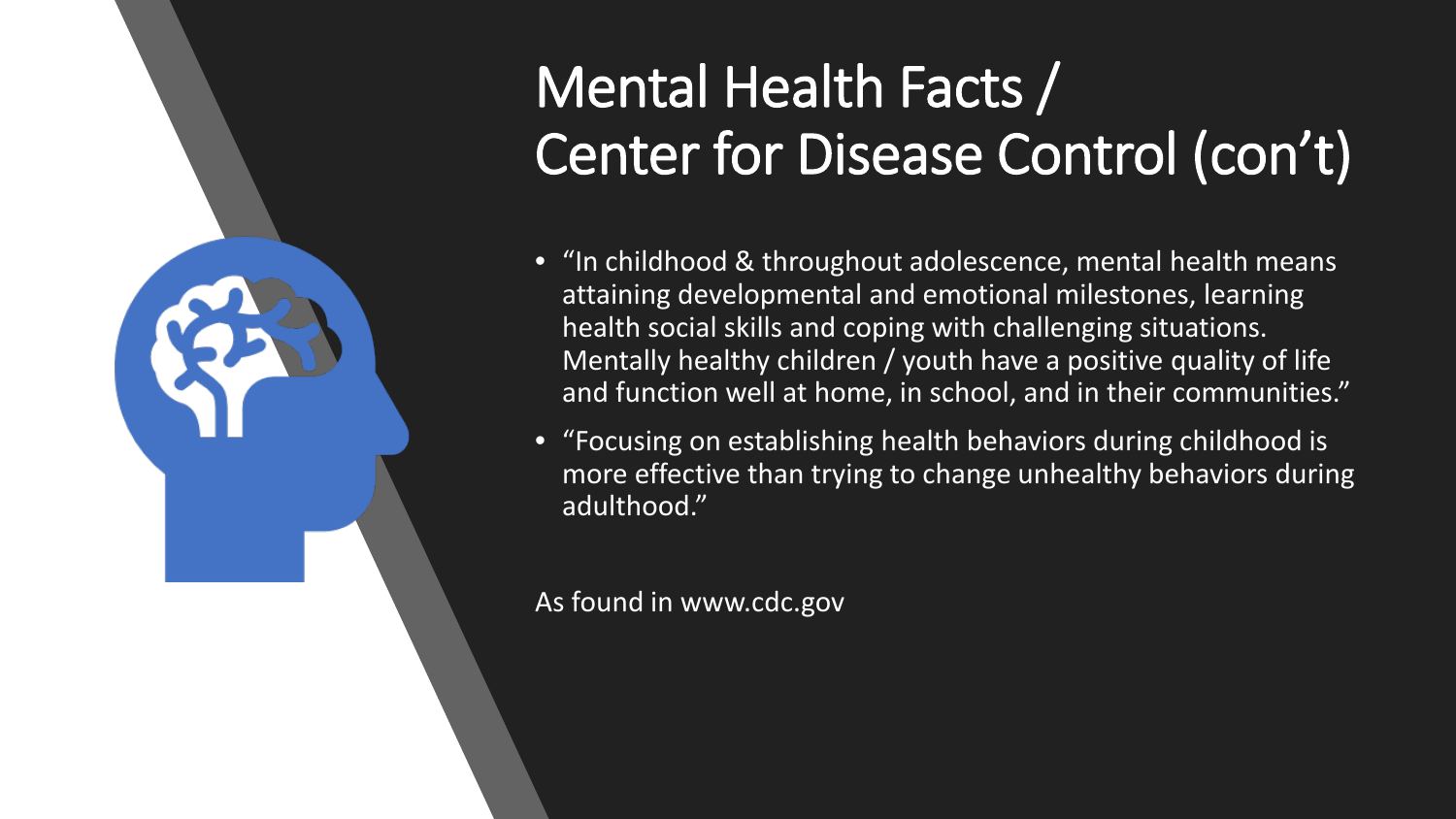# Mental Health Facts / Center for Disease Control (con't)

- "In childhood & throughout adolescence, mental health means attaining developmental and emotional milestones, learning health social skills and coping with challenging situations. Mentally healthy children / youth have a positive quality of life and function well at home, in school, and in their communities."
- "Focusing on establishing health behaviors during childhood is more effective than trying to change unhealthy behaviors during adulthood."

As found in www.cdc.gov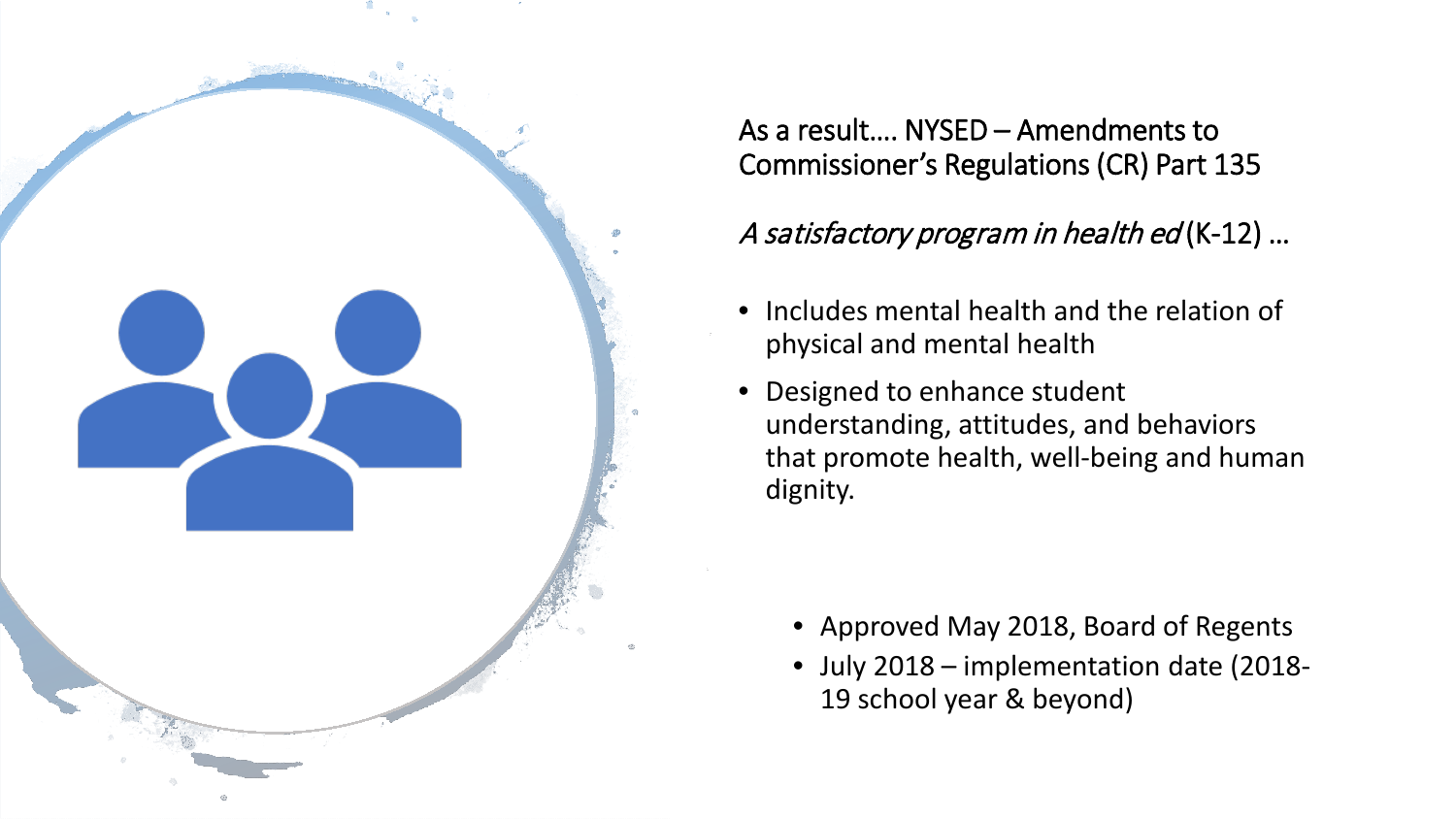

As a result…. NYSED – Amendments to Commissioner's Regulations (CR) Part 135

#### A satisfactory program in health ed (K-12) …

- Includes mental health and the relation of physical and mental health
- Designed to enhance student understanding, attitudes, and behaviors that promote health, well-being and human dignity.

- Approved May 2018, Board of Regents
- July 2018 implementation date (2018- 19 school year & beyond)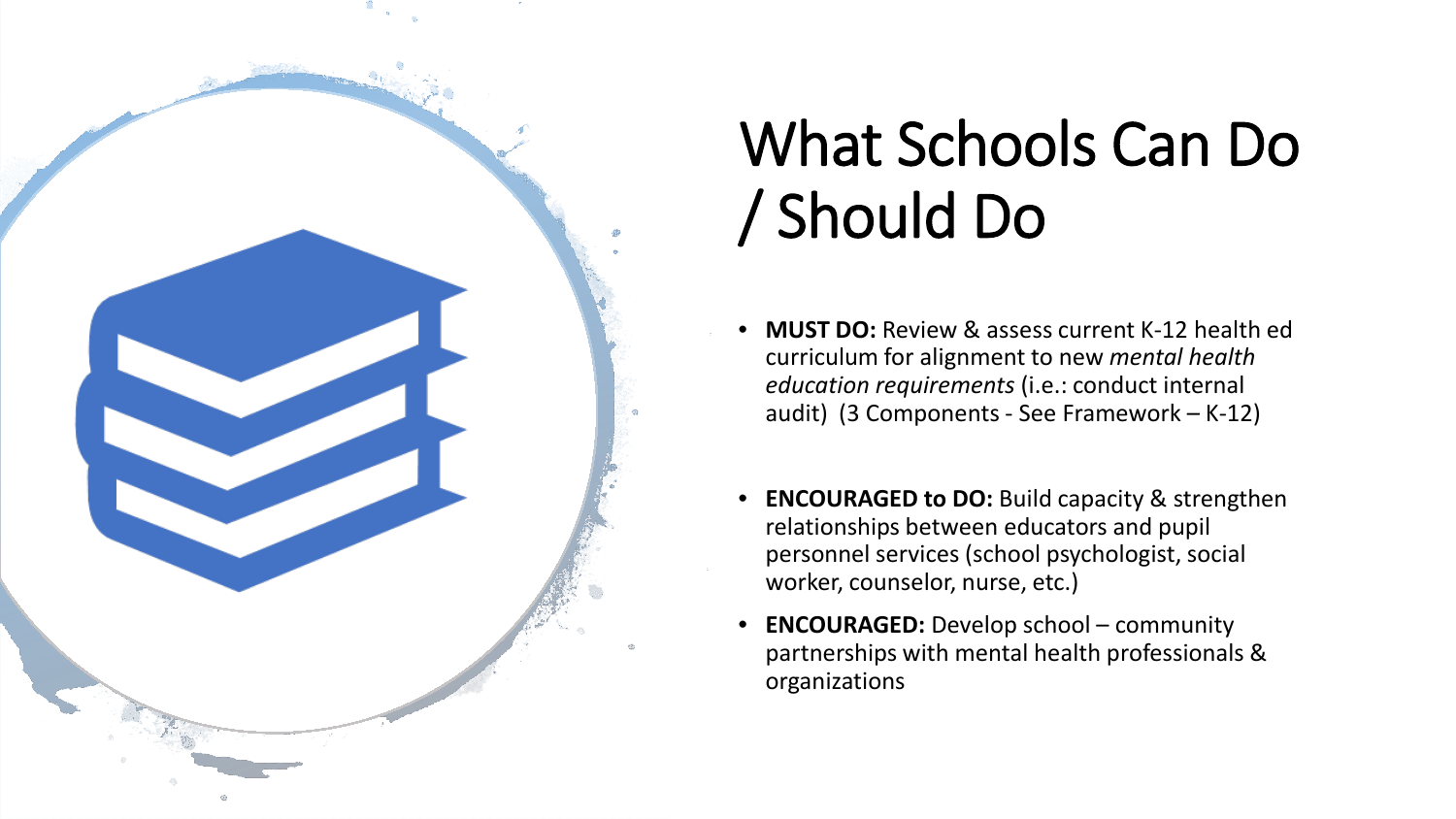

# What Schools Can Do / Should Do

- **MUST DO:** Review & assess current K-12 health ed curriculum for alignment to new *mental health education requirements* (i.e.: conduct internal audit) (3 Components - See Framework – K-12)
- **ENCOURAGED to DO:** Build capacity & strengthen relationships between educators and pupil personnel services (school psychologist, social worker, counselor, nurse, etc.)
- **ENCOURAGED:** Develop school community partnerships with mental health professionals & organizations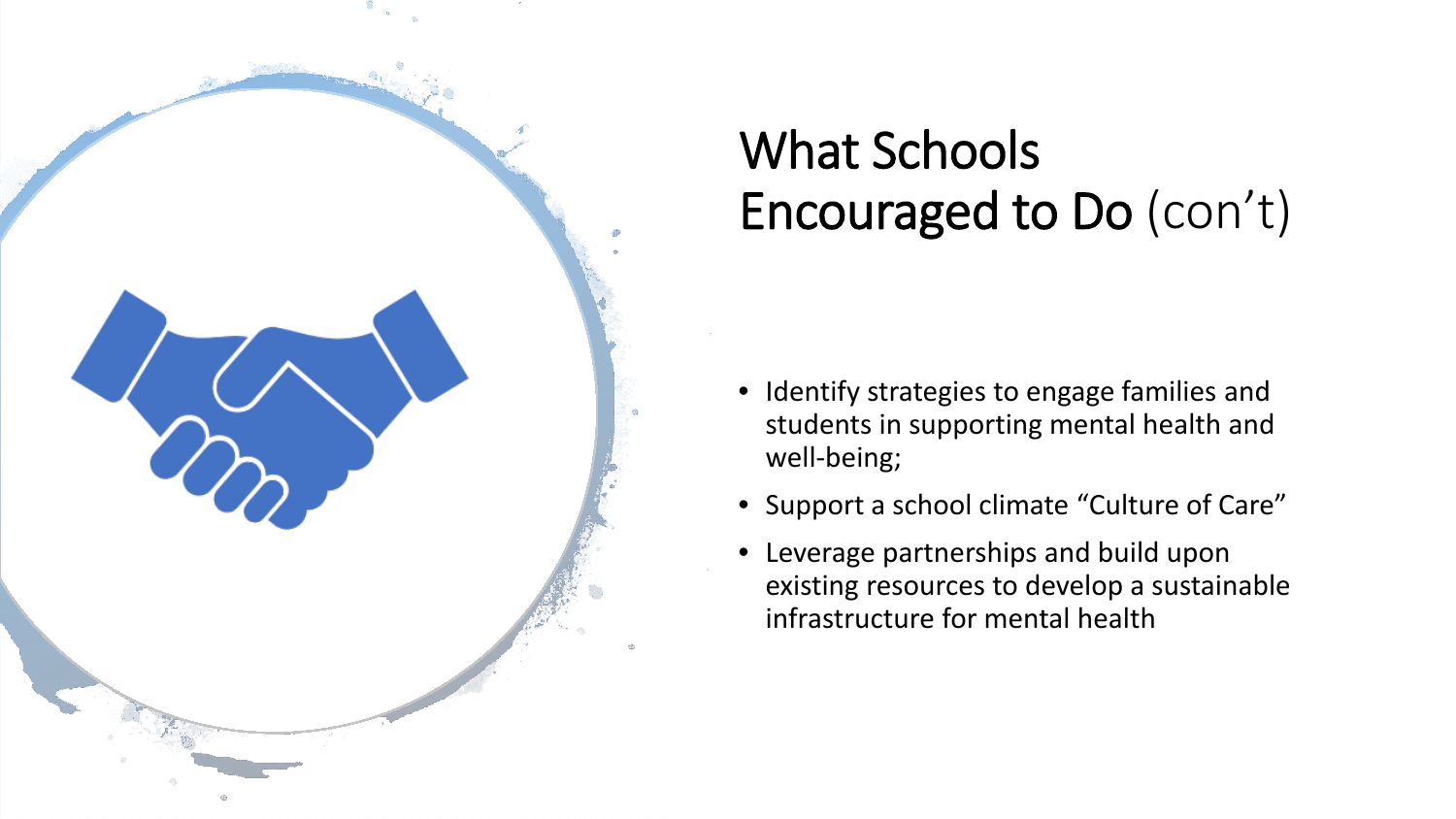

### What Schools Encouraged to Do (con't)

- Identify strategies to engage families and students in supporting mental health and well-being;
- Support a school climate "Culture of Care"
- Leverage partnerships and build upon existing resources to develop a sustainable infrastructure for mental health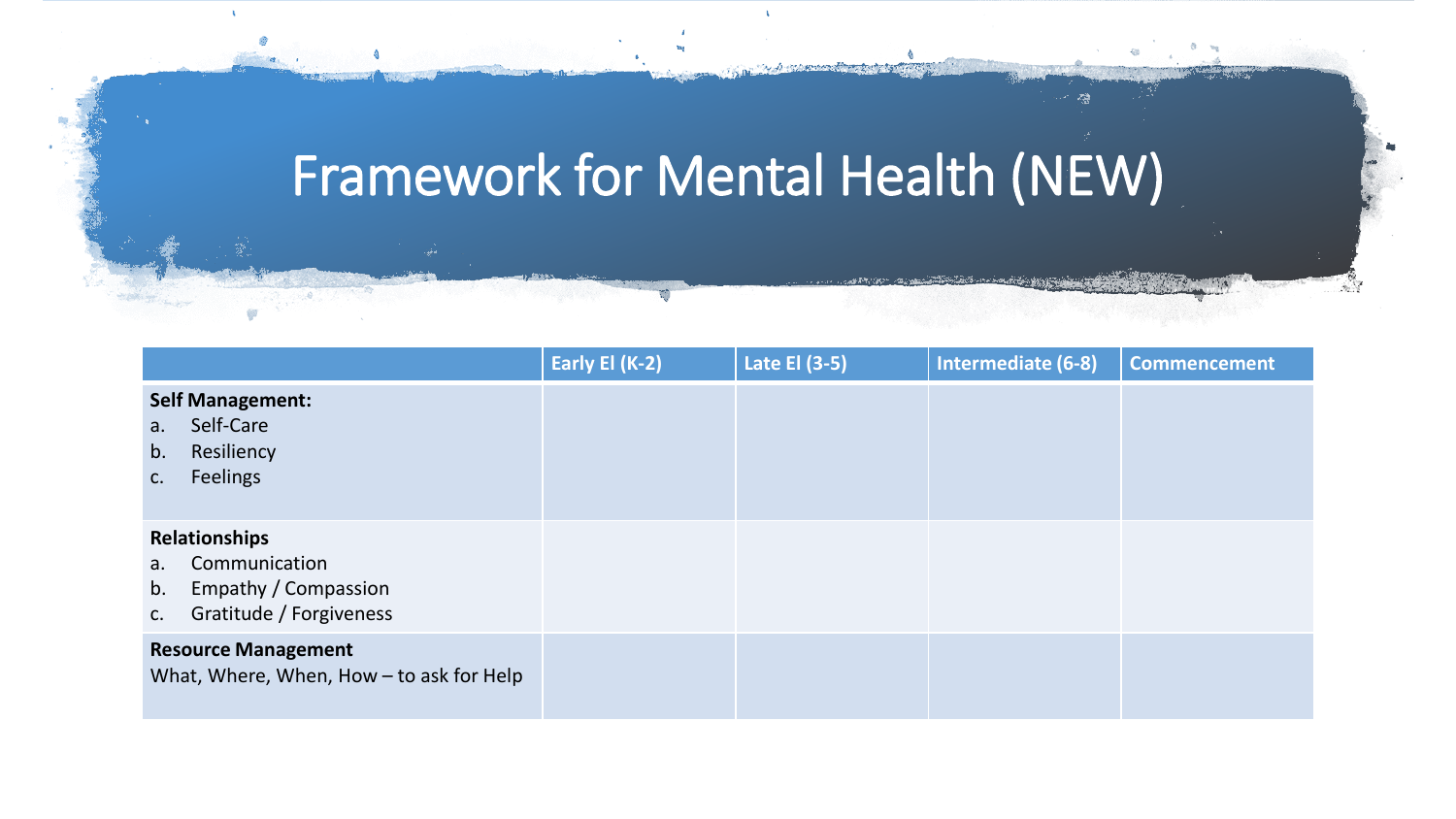### Framework for Mental Health (NEW)

|                                                                                                              | Early El (K-2) | Late El (3-5) | Intermediate (6-8) | <b>Commencement</b> |
|--------------------------------------------------------------------------------------------------------------|----------------|---------------|--------------------|---------------------|
| <b>Self Management:</b><br>Self-Care<br>a.<br>Resiliency<br>b.<br><b>Feelings</b><br>C.                      |                |               |                    |                     |
| Relationships<br>Communication<br>$a_{\cdot}$<br>Empathy / Compassion<br>b.<br>Gratitude / Forgiveness<br>C. |                |               |                    |                     |
| <b>Resource Management</b><br>What, Where, When, How - to ask for Help                                       |                |               |                    |                     |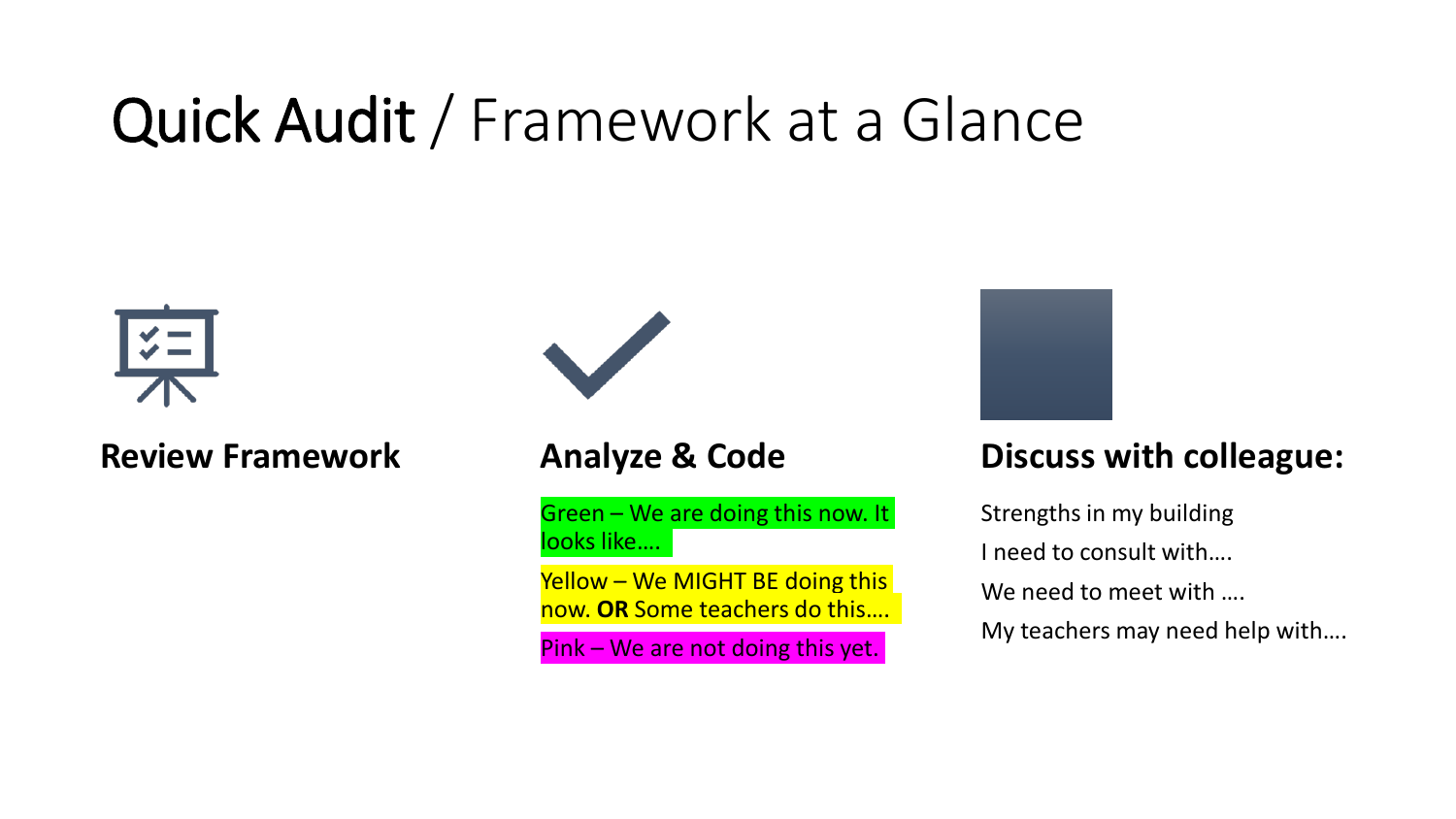## Quick Audit / Framework at a Glance



**Review Framework Analyze & Code** 



Green – We are doing this now. It looks like….

Yellow – We MIGHT BE doing this now. **OR** Some teachers do this….

Pink – We are not doing this yet.



#### **Discuss with colleague:**

Strengths in my building I need to consult with…. We need to meet with …. My teachers may need help with….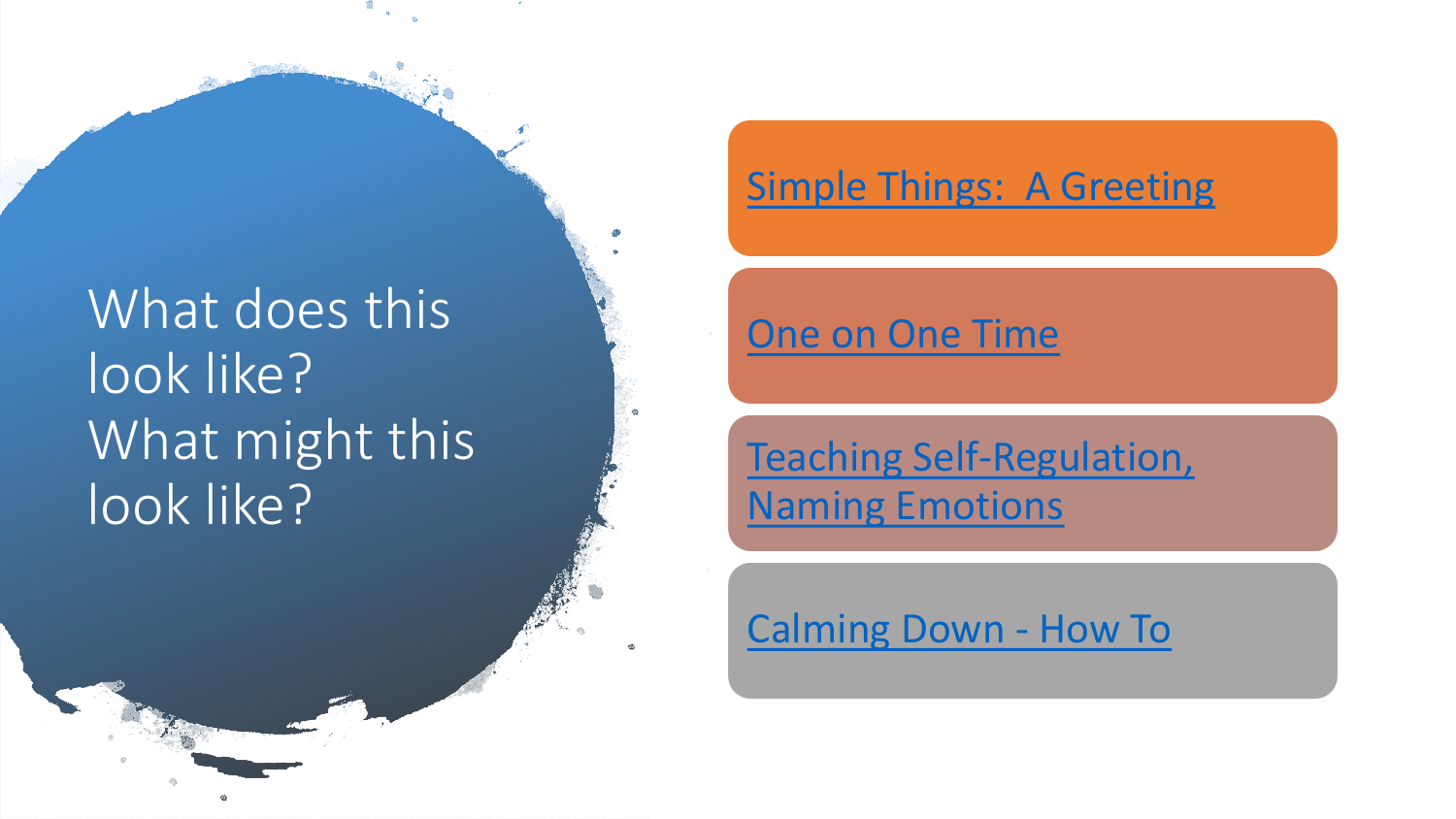### What does this look like? What might this look like?

#### [Simple Things: A Greeting](https://www.edutopia.org/video/making-connections-greetings-door)

#### [One on One Time](https://www.edutopia.org/video/cultivating-trust-one-one-time)

#### [Teaching Self-Regulation,](https://www.edutopia.org/video/teaching-self-regulation-modeling)  [Naming Emotions](https://www.edutopia.org/video/teaching-self-regulation-modeling)

#### [Calming Down -](https://www.edutopia.org/video/getting-ready-learn-mindfulness) [How To](https://www.edutopia.org/video/getting-ready-learn-mindfulness)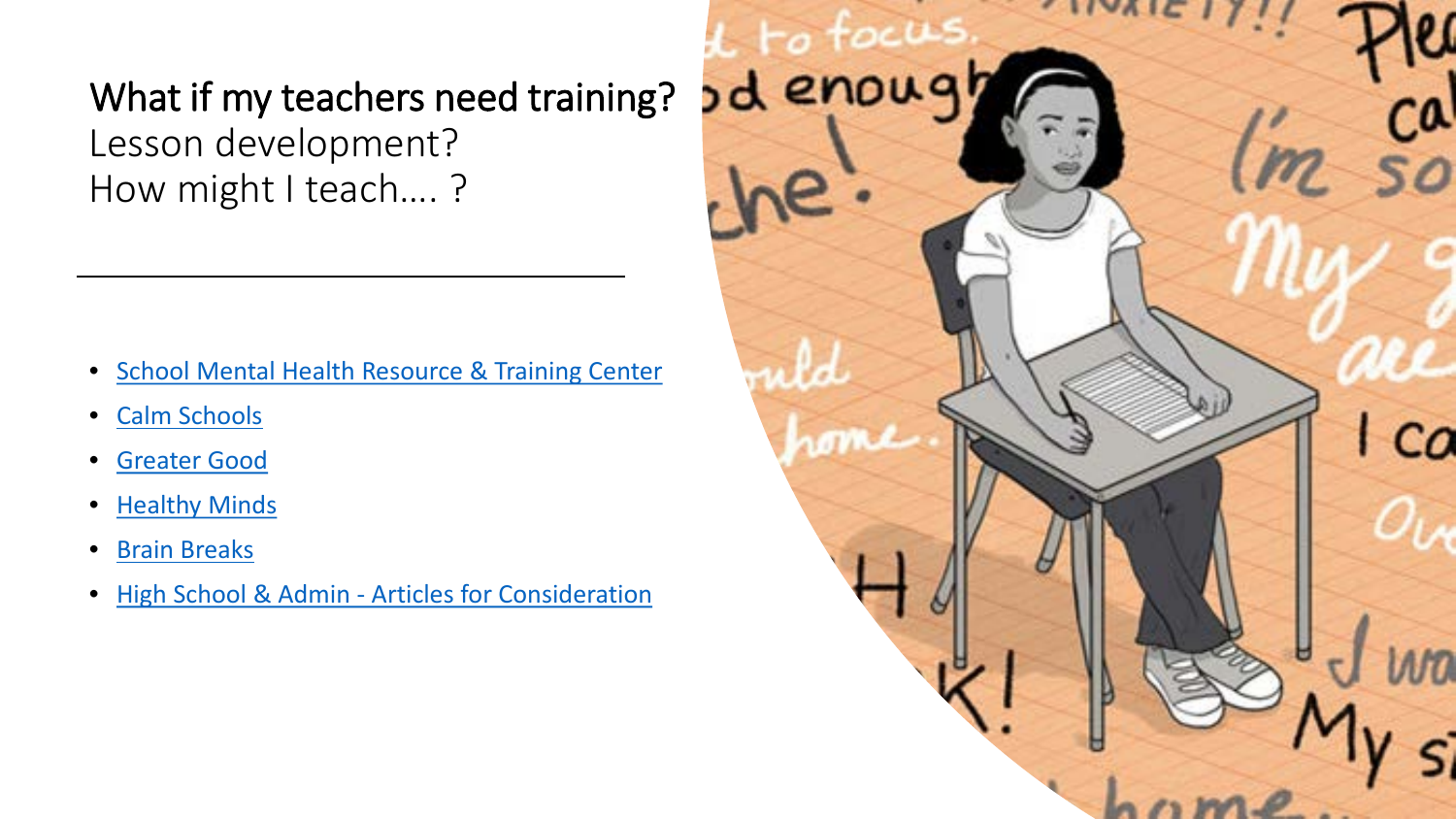#### What if my teachers need training? Lesson development? How might I teach…. ?

- [School Mental Health Resource & Training Center](https://www.mentalhealthednys.org/)
- [Calm Schools](https://www.calm.com/schools)
- [Greater Good](https://greatergood.berkeley.edu/)
- [Healthy Minds](https://centerhealthyminds.org/)
- [Brain Breaks](https://www.gonoodle.com/)
- [High School & Admin -](https://www.edutopia.org/article/mindfulness-high-school) [Articles for Consideration](https://www.edutopia.org/article/mindfulness-high-school)

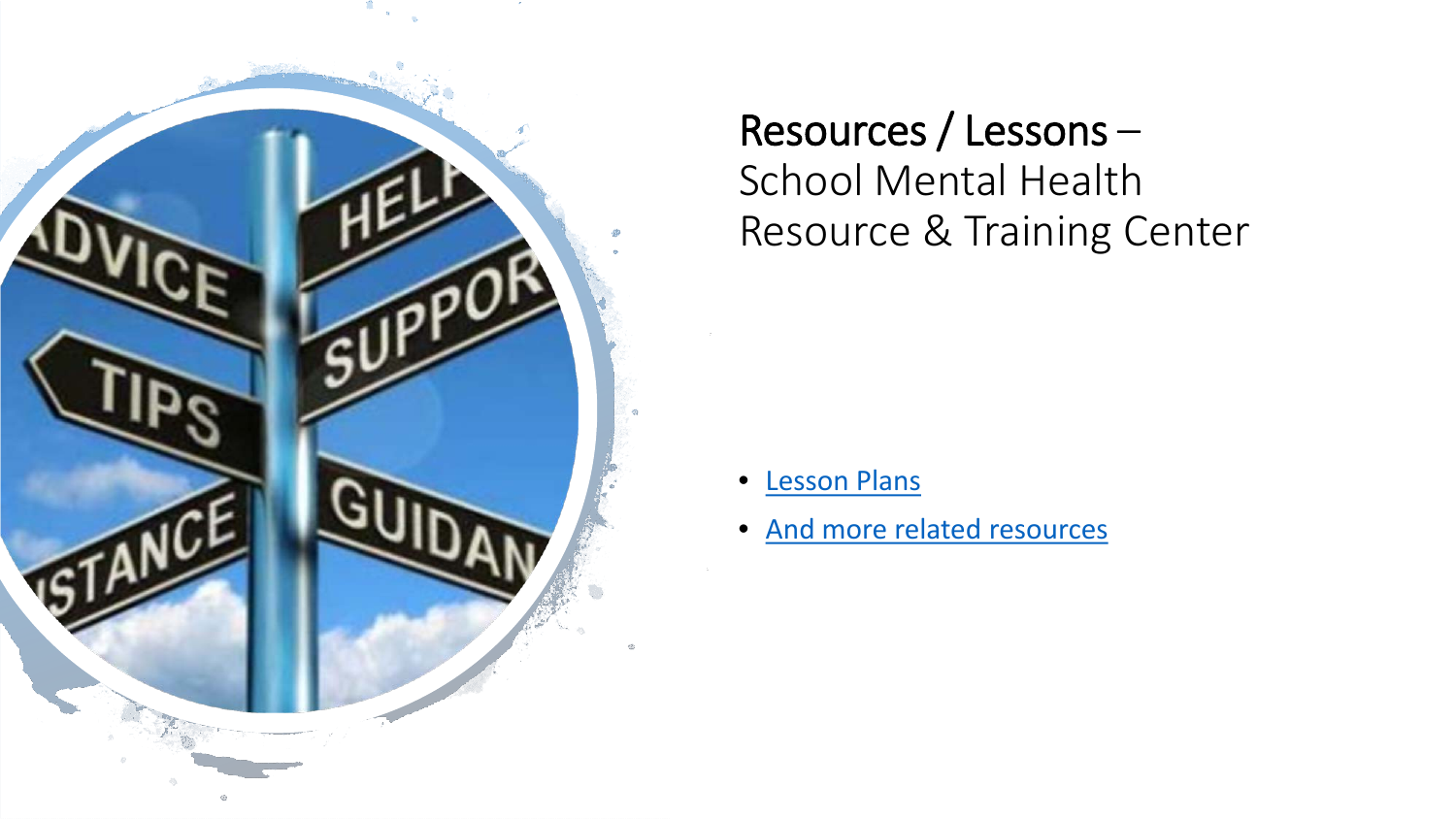

Resources / Lessons – School Mental Health Resource & Training Center

- [Lesson Plans](https://www.mentalhealthednys.org/education-professional/mental-health-education-lesson-plans/)
- [And more related resources](https://www.mentalhealthednys.org/education-professional/resources-for-mh-education/)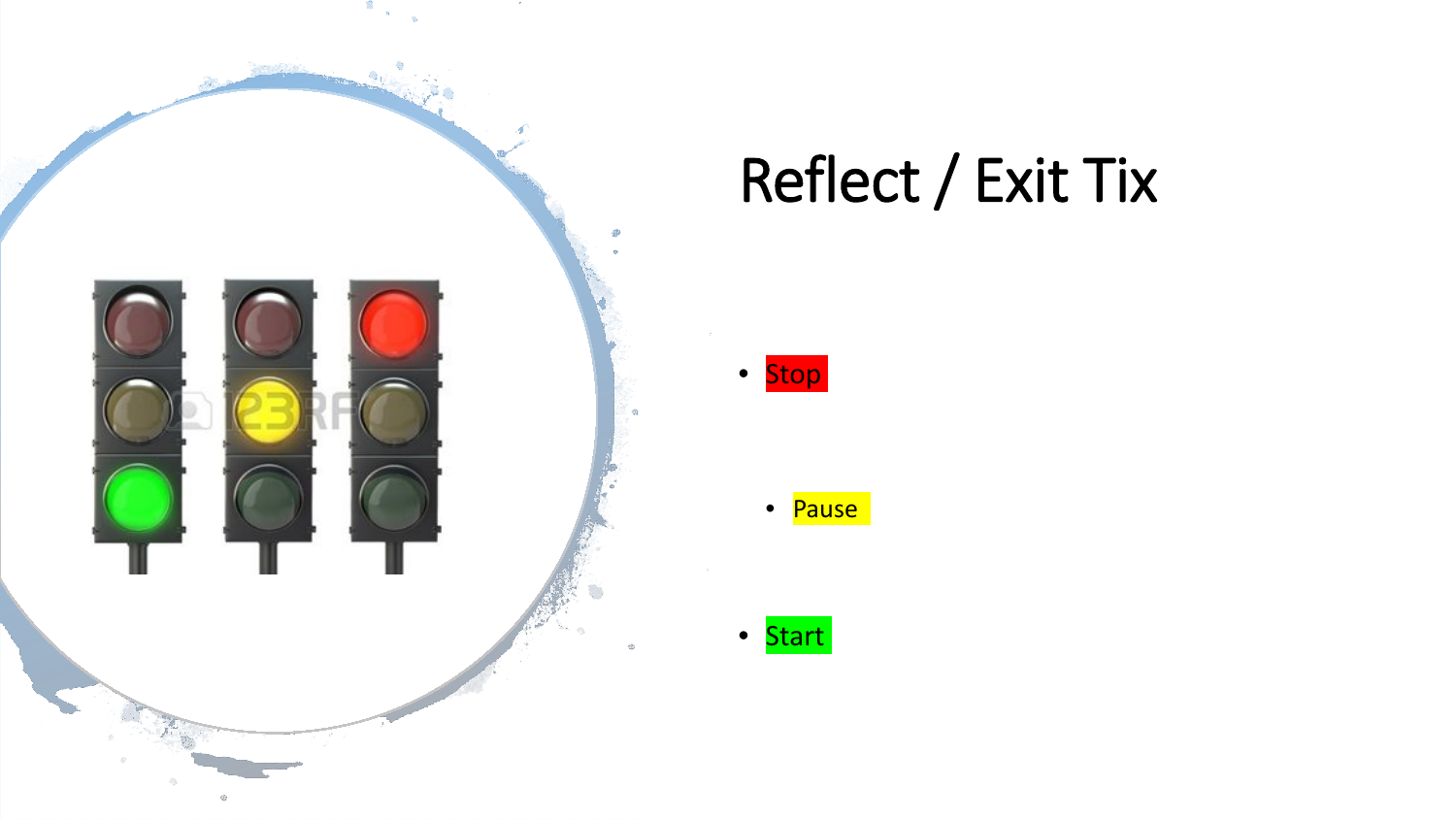

### Reflect / Exit Tix

- Stop
	- Pause
	-
	- Start